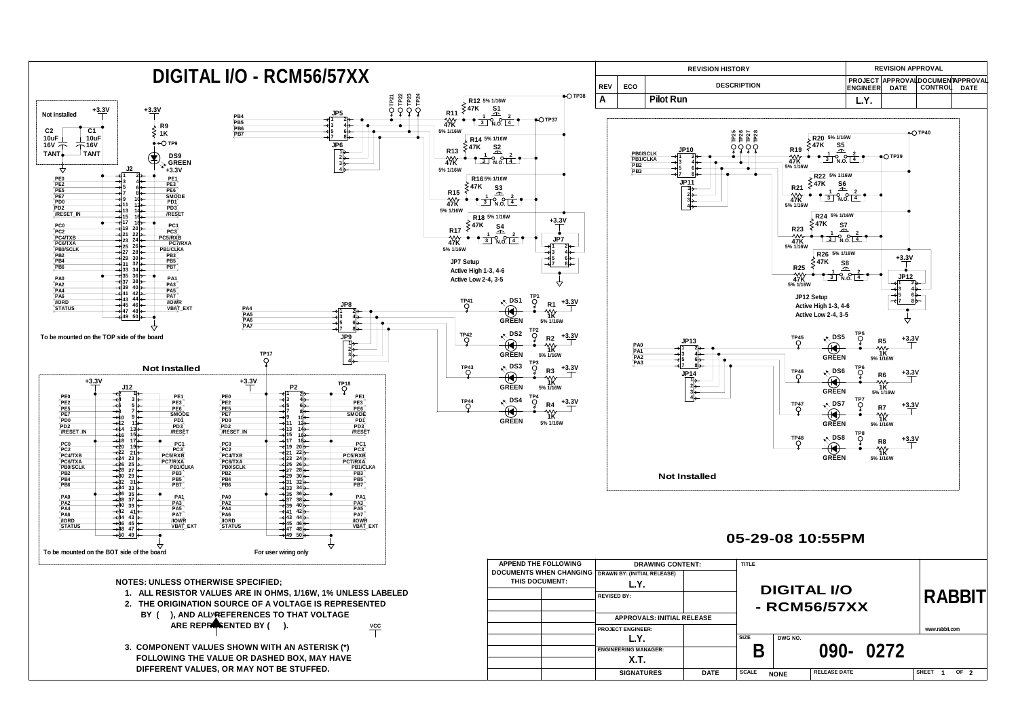